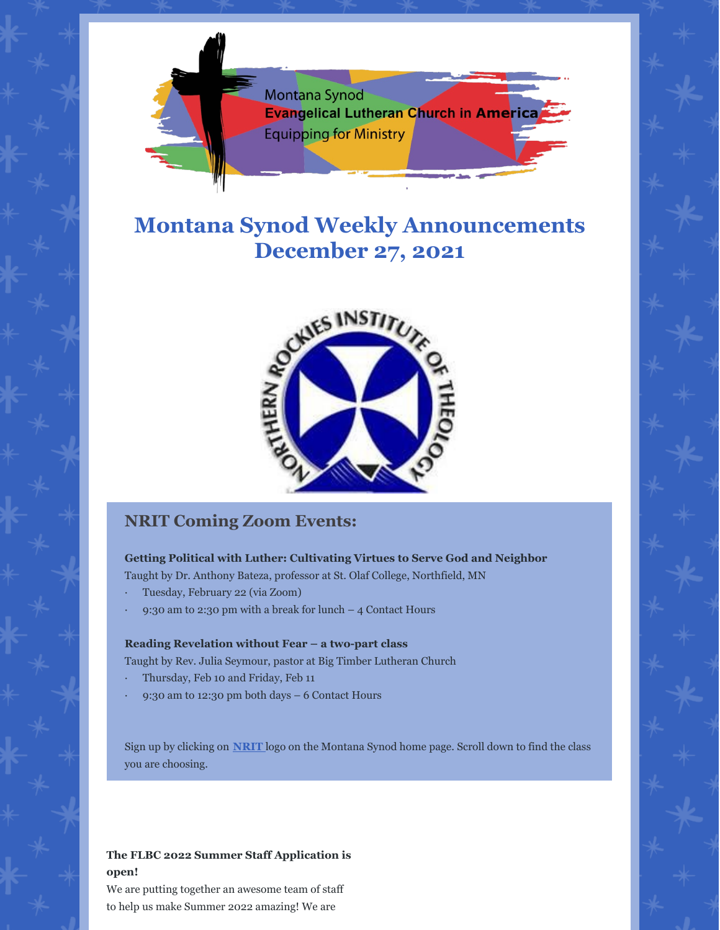

# **Montana Synod Weekly Announcements December 27, 2021**



## **NRIT Coming Zoom Events:**

## **Getting Political with Luther: Cultivating Virtues to Serve God and Neighbor**

Taught by Dr. Anthony Bateza, professor at St. Olaf College, Northfield, MN

- · Tuesday, February 22 (via Zoom)
- 9:30 am to 2:30 pm with a break for lunch  $-$  4 Contact Hours

### **Reading Revelation without Fear – a two-part class**

Taught by Rev. Julia Seymour, pastor at Big Timber Lutheran Church

- · Thursday, Feb 10 and Friday, Feb 11
- · 9:30 am to 12:30 pm both days 6 Contact Hours

Sign up by clicking on **[NRIT](https://www.montanasynod.org/nrit.html)** logo on the Montana Synod home page. Scroll down to find the class you are choosing.

## **The FLBC 2022 Summer Staff Application is open!**

We are putting together an awesome team of staff to help us make Summer 2022 amazing! We are